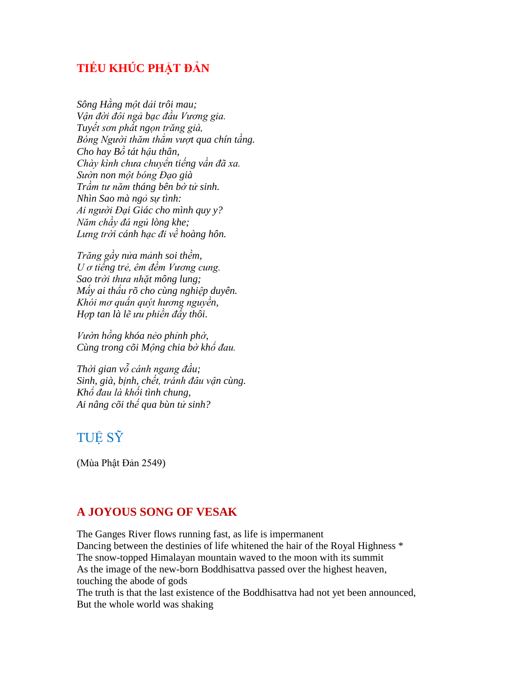## **TIẾU KHÚC PHẬT ĐẢN**

*Sông Hằng một dải trôi mau; Vận đời đôi ngả bạc đầu Vương gia. Tuyết sơn phất ngọn trăng già, Bóng Người thăm thẳm vượt qua chín tầng. Cho hay Bồ tát hậu thân, Chày kình chưa chuyển tiếng vần đã xa. Sườn non một bóng Đạo già Trầm tư năm tháng bên bờ tử sinh. Nhìn Sao mà ngỏ sự tình: Ai người Đại Giác cho mình quy y? Năm chầy đá ngủ lòng khe; Lưng trời cánh hạc đi về hoàng hôn.*

*Trăng gầy nửa mảnh soi thềm, U ơ tiếng trẻ, êm đềm Vương cung. Sao trời thưa nhặt mông lung; Mấy ai thấu rõ cho cùng nghiệp duyên. Khói mơ quấn quýt hương nguyền, Hợp tan là lẽ ưu phiền đấy thôi.*

*Vườn hồng khóa nẻo phỉnh phờ, Cùng trong cõi Mộng chia bờ khổ đau.*

*Thời gian vỗ cánh ngang đầu; Sinh, già, bịnh, chết, tránh đâu vận cùng. Khổ đau là khối tình chung, Ai nâng cõi thế qua bùn tử sinh?*

## TUỆ SỸ

(Mùa Phật Đản 2549)

## **A JOYOUS SONG OF VESAK**

The Ganges River flows running fast, as life is impermanent Dancing between the destinies of life whitened the hair of the Royal Highness  $*$ The snow-topped Himalayan mountain waved to the moon with its summit As the image of the new-born Boddhisattva passed over the highest heaven, touching the abode of gods The truth is that the last existence of the Boddhisattva had not yet been announced, But the whole world was shaking